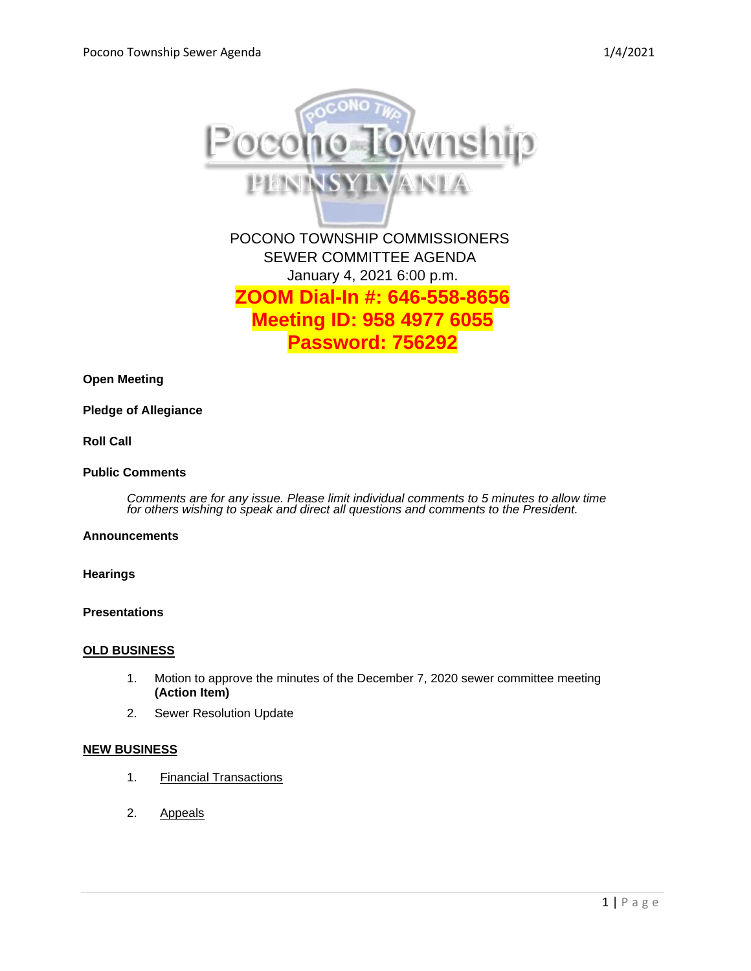

**Open Meeting**

#### **Pledge of Allegiance**

# **Roll Call**

## **Public Comments**

*Comments are for any issue. Please limit individual comments to 5 minutes to allow time for others wishing to speak and direct all questions and comments to the President.* 

## **Announcements**

**Hearings**

**Presentations**

#### **OLD BUSINESS**

- 1. Motion to approve the minutes of the December 7, 2020 sewer committee meeting **(Action Item)**
- 2. Sewer Resolution Update

# **NEW BUSINESS**

- 1. Financial Transactions
- 2. Appeals